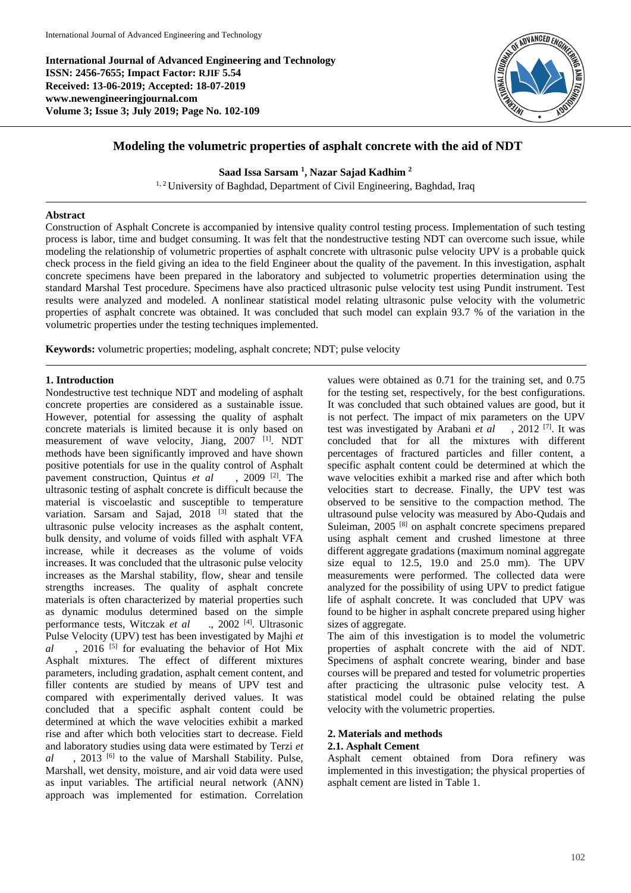**International Journal of Advanced Engineering and Technology ISSN: 2456-7655; Impact Factor: RJIF 5.54 Received: 13-06-2019; Accepted: 18-07-2019 www.newengineeringjournal.com Volume 3; Issue 3; July 2019; Page No. 102-109**



# **Modeling the volumetric properties of asphalt concrete with the aid of NDT**

**Saad Issa Sarsam <sup>1</sup> , Nazar Sajad Kadhim <sup>2</sup>**

<sup>1, 2</sup> University of Baghdad, Department of Civil Engineering, Baghdad, Iraq

# **Abstract**

Construction of Asphalt Concrete is accompanied by intensive quality control testing process. Implementation of such testing process is labor, time and budget consuming. It was felt that the nondestructive testing NDT can overcome such issue, while modeling the relationship of volumetric properties of asphalt concrete with ultrasonic pulse velocity UPV is a probable quick check process in the field giving an idea to the field Engineer about the quality of the pavement. In this investigation, asphalt concrete specimens have been prepared in the laboratory and subjected to volumetric properties determination using the standard Marshal Test procedure. Specimens have also practiced ultrasonic pulse velocity test using Pundit instrument. Test results were analyzed and modeled. A nonlinear statistical model relating ultrasonic pulse velocity with the volumetric properties of asphalt concrete was obtained. It was concluded that such model can explain 93.7 % of the variation in the volumetric properties under the testing techniques implemented.

**Keywords:** volumetric properties; modeling, asphalt concrete; NDT; pulse velocity

# **1. Introduction**

Nondestructive test technique NDT and modeling of asphalt concrete properties are considered as a sustainable issue. However, potential for assessing the quality of asphalt concrete materials is limited because it is only based on measurement of wave velocity, Jiang, 2007 [1]. NDT methods have been significantly improved and have shown positive potentials for use in the quality control of Asphalt pavement construction, Quintus *et al* , 2009<sup>[2]</sup>. The ultrasonic testing of asphalt concrete is difficult because the material is viscoelastic and susceptible to temperature variation. Sarsam and Sajad,  $2018$ <sup>[3]</sup> stated that the ultrasonic pulse velocity increases as the asphalt content, bulk density, and volume of voids filled with asphalt VFA increase, while it decreases as the volume of voids increases. It was concluded that the ultrasonic pulse velocity increases as the Marshal stability, flow, shear and tensile strengths increases. The quality of asphalt concrete materials is often characterized by material properties such as dynamic modulus determined based on the simple performance tests, Witczak *et al* ., 2002 [4]. Ultrasonic Pulse Velocity (UPV) test has been investigated by Majhi *et*   $al$ , 2016<sup>[5]</sup> for evaluating the behavior of Hot Mix Asphalt mixtures. The effect of different mixtures parameters, including gradation, asphalt cement content, and filler contents are studied by means of UPV test and compared with experimentally derived values. It was concluded that a specific asphalt content could be determined at which the wave velocities exhibit a marked rise and after which both velocities start to decrease. Field and laboratory studies using data were estimated by Terzi *et al* , 2013 [6] to the value of Marshall Stability. Pulse, Marshall, wet density, moisture, and air void data were used as input variables. The artificial neural network (ANN) approach was implemented for estimation. Correlation

values were obtained as 0.71 for the training set, and 0.75 for the testing set, respectively, for the best configurations. It was concluded that such obtained values are good, but it is not perfect. The impact of mix parameters on the UPV test was investigated by Arabani *et al* , 2012 [7]. It was concluded that for all the mixtures with different percentages of fractured particles and filler content, a specific asphalt content could be determined at which the wave velocities exhibit a marked rise and after which both velocities start to decrease. Finally, the UPV test was observed to be sensitive to the compaction method. The ultrasound pulse velocity was measured by Abo-Qudais and Suleiman, 2005<sup>[8]</sup> on asphalt concrete specimens prepared using asphalt cement and crushed limestone at three different aggregate gradations (maximum nominal aggregate size equal to 12.5, 19.0 and 25.0 mm). The UPV measurements were performed. The collected data were analyzed for the possibility of using UPV to predict fatigue life of asphalt concrete. It was concluded that UPV was found to be higher in asphalt concrete prepared using higher sizes of aggregate.

The aim of this investigation is to model the volumetric properties of asphalt concrete with the aid of NDT. Specimens of asphalt concrete wearing, binder and base courses will be prepared and tested for volumetric properties after practicing the ultrasonic pulse velocity test. A statistical model could be obtained relating the pulse velocity with the volumetric properties.

# **2. Materials and methods**

# **2.1. Asphalt Cement**

Asphalt cement obtained from Dora refinery was implemented in this investigation; the physical properties of asphalt cement are listed in Table 1.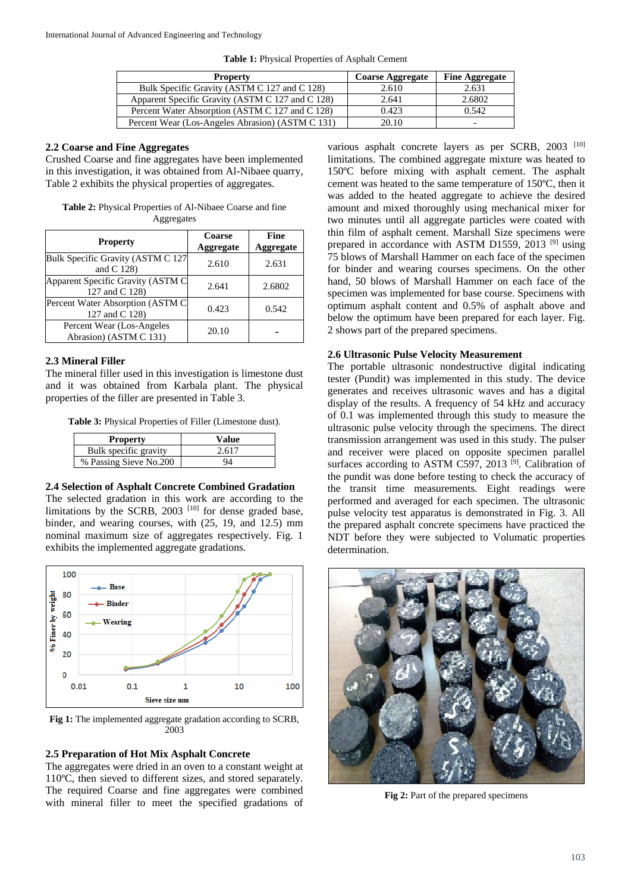**Table 1:** Physical Properties of Asphalt Cement

| <b>Property</b>                                  | <b>Coarse Aggregate</b> | <b>Fine Aggregate</b>    |
|--------------------------------------------------|-------------------------|--------------------------|
| Bulk Specific Gravity (ASTM C 127 and C 128)     | 2.610                   | 2.631                    |
| Apparent Specific Gravity (ASTM C 127 and C 128) | 2.641                   | 2.6802                   |
| Percent Water Absorption (ASTM C 127 and C 128)  | 0.423                   | 0.542                    |
| Percent Wear (Los-Angeles Abrasion) (ASTM C 131) | 20.10                   | $\overline{\phantom{0}}$ |

# **2.2 Coarse and Fine Aggregates**

Crushed Coarse and fine aggregates have been implemented in this investigation, it was obtained from Al-Nibaee quarry, Table 2 exhibits the physical properties of aggregates.

**Table 2:** Physical Properties of Al-Nibaee Coarse and fine Aggregates

| <b>Property</b>                                     | Coarse<br><b>Aggregate</b> | Fine<br>Aggregate |
|-----------------------------------------------------|----------------------------|-------------------|
| Bulk Specific Gravity (ASTM C 127<br>and $C$ 128)   | 2.610                      | 2.631             |
| Apparent Specific Gravity (ASTM C<br>127 and C 128) | 2.641                      | 2.6802            |
| Percent Water Absorption (ASTM C)<br>127 and C 128) | 0.423                      | 0.542             |
| Percent Wear (Los-Angeles<br>Abrasion) (ASTM C 131) | 20.10                      |                   |

# **2.3 Mineral Filler**

The mineral filler used in this investigation is limestone dust and it was obtained from Karbala plant. The physical properties of the filler are presented in Table 3.

**Table 3:** Physical Properties of Filler (Limestone dust).

| <b>Property</b>        | Value |
|------------------------|-------|
| Bulk specific gravity  | 2.617 |
| % Passing Sieve No.200 | 94    |

# **2.4 Selection of Asphalt Concrete Combined Gradation**

The selected gradation in this work are according to the limitations by the SCRB, 2003<sup>[10]</sup> for dense graded base, binder, and wearing courses, with (25, 19, and 12.5) mm nominal maximum size of aggregates respectively. Fig. 1 exhibits the implemented aggregate gradations.



**Fig 1:** The implemented aggregate gradation according to SCRB, 2003

# **2.5 Preparation of Hot Mix Asphalt Concrete**

The aggregates were dried in an oven to a constant weight at 110ºC, then sieved to different sizes, and stored separately. The required Coarse and fine aggregates were combined with mineral filler to meet the specified gradations of

various asphalt concrete layers as per SCRB, 2003<sup>[10]</sup> limitations. The combined aggregate mixture was heated to 150ºC before mixing with asphalt cement. The asphalt cement was heated to the same temperature of 150ºC, then it was added to the heated aggregate to achieve the desired amount and mixed thoroughly using mechanical mixer for two minutes until all aggregate particles were coated with thin film of asphalt cement. Marshall Size specimens were prepared in accordance with ASTM D1559, 2013<sup>[9]</sup> using 75 blows of Marshall Hammer on each face of the specimen for binder and wearing courses specimens. On the other hand, 50 blows of Marshall Hammer on each face of the specimen was implemented for base course. Specimens with optimum asphalt content and 0.5% of asphalt above and below the optimum have been prepared for each layer. Fig. 2 shows part of the prepared specimens.

# **2.6 Ultrasonic Pulse Velocity Measurement**

The portable ultrasonic nondestructive digital indicating tester (Pundit) was implemented in this study. The device generates and receives ultrasonic waves and has a digital display of the results. A frequency of 54 kHz and accuracy of 0.1 was implemented through this study to measure the ultrasonic pulse velocity through the specimens. The direct transmission arrangement was used in this study. The pulser and receiver were placed on opposite specimen parallel surfaces according to ASTM C597, 2013<sup>[9]</sup>. Calibration of the pundit was done before testing to check the accuracy of the transit time measurements. Eight readings were performed and averaged for each specimen. The ultrasonic pulse velocity test apparatus is demonstrated in Fig. 3. All the prepared asphalt concrete specimens have practiced the NDT before they were subjected to Volumatic properties determination.



Fig 2: Part of the prepared specimens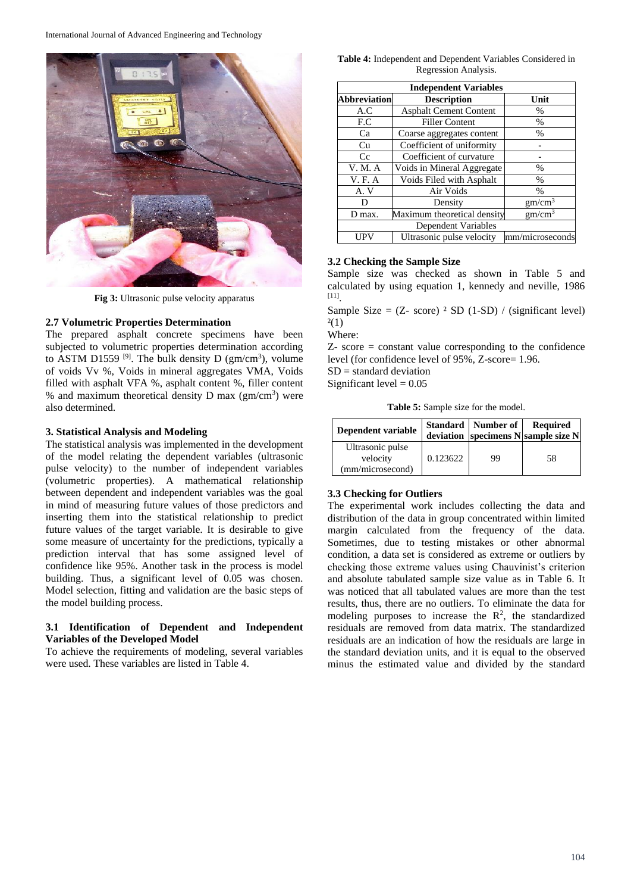

**Fig 3:** Ultrasonic pulse velocity apparatus

### **2.7 Volumetric Properties Determination**

The prepared asphalt concrete specimens have been subjected to volumetric properties determination according to ASTM D1559<sup>[9]</sup>. The bulk density D ( $gm/cm<sup>3</sup>$ ), volume of voids Vv %, Voids in mineral aggregates VMA, Voids filled with asphalt VFA %, asphalt content %, filler content % and maximum theoretical density  $D$  max ( $gm/cm<sup>3</sup>$ ) were also determined.

# **3. Statistical Analysis and Modeling**

The statistical analysis was implemented in the development of the model relating the dependent variables (ultrasonic pulse velocity) to the number of independent variables (volumetric properties). A mathematical relationship between dependent and independent variables was the goal in mind of measuring future values of those predictors and inserting them into the statistical relationship to predict future values of the target variable. It is desirable to give some measure of uncertainty for the predictions, typically a prediction interval that has some assigned level of confidence like 95%. Another task in the process is model building. Thus, a significant level of 0.05 was chosen. Model selection, fitting and validation are the basic steps of the model building process.

# **3.1 Identification of Dependent and Independent Variables of the Developed Model**

To achieve the requirements of modeling, several variables were used. These variables are listed in Table 4.

#### **Table 4:** Independent and Dependent Variables Considered in Regression Analysis.

| <b>Independent Variables</b> |                               |                    |  |  |  |  |
|------------------------------|-------------------------------|--------------------|--|--|--|--|
| <b>Abbreviation</b>          | <b>Description</b>            | Unit               |  |  |  |  |
| A.C                          | <b>Asphalt Cement Content</b> | $\frac{0}{0}$      |  |  |  |  |
| F.C                          | <b>Filler Content</b>         | $\%$               |  |  |  |  |
| Ca                           | Coarse aggregates content     | $\%$               |  |  |  |  |
| Сu                           | Coefficient of uniformity     |                    |  |  |  |  |
| Cc                           | Coefficient of curvature      |                    |  |  |  |  |
| V. M. A                      | Voids in Mineral Aggregate    | $\frac{0}{0}$      |  |  |  |  |
| <b>V.F.A</b>                 | Voids Filed with Asphalt      | %                  |  |  |  |  |
| A.V                          | Air Voids                     | $\frac{0}{0}$      |  |  |  |  |
| D                            | Density                       | gm/cm <sup>3</sup> |  |  |  |  |
| D max.                       | Maximum theoretical density   | gm/cm <sup>3</sup> |  |  |  |  |
|                              | Dependent Variables           |                    |  |  |  |  |
|                              | Ultrasonic pulse velocity     | mm/microseconds    |  |  |  |  |

# **3.2 Checking the Sample Size**

Sample size was checked as shown in Table 5 and calculated by using equation 1, kennedy and neville, 1986 [11] .

Sample Size =  $(Z - score)$  <sup>2</sup> SD (1-SD) / (significant level)  $2(1)$ 

Where:

Z- score = constant value corresponding to the confidence level (for confidence level of 95%, Z-score= 1.96.  $SD =$  standard deviation

Significant level  $= 0.05$ 

**Table 5:** Sample size for the model.

| Dependent variable                               |          | Standard   Number of | <b>Required</b><br>deviation specimens $N$ sample size $N$ |
|--------------------------------------------------|----------|----------------------|------------------------------------------------------------|
| Ultrasonic pulse<br>velocity<br>(mm/microsecond) | 0.123622 | 99                   | 58                                                         |

# **3.3 Checking for Outliers**

The experimental work includes collecting the data and distribution of the data in group concentrated within limited margin calculated from the frequency of the data. Sometimes, due to testing mistakes or other abnormal condition, a data set is considered as extreme or outliers by checking those extreme values using Chauvinist's criterion and absolute tabulated sample size value as in Table 6. It was noticed that all tabulated values are more than the test results, thus, there are no outliers. To eliminate the data for modeling purposes to increase the  $\mathbb{R}^2$ , the standardized residuals are removed from data matrix. The standardized residuals are an indication of how the residuals are large in the standard deviation units, and it is equal to the observed minus the estimated value and divided by the standard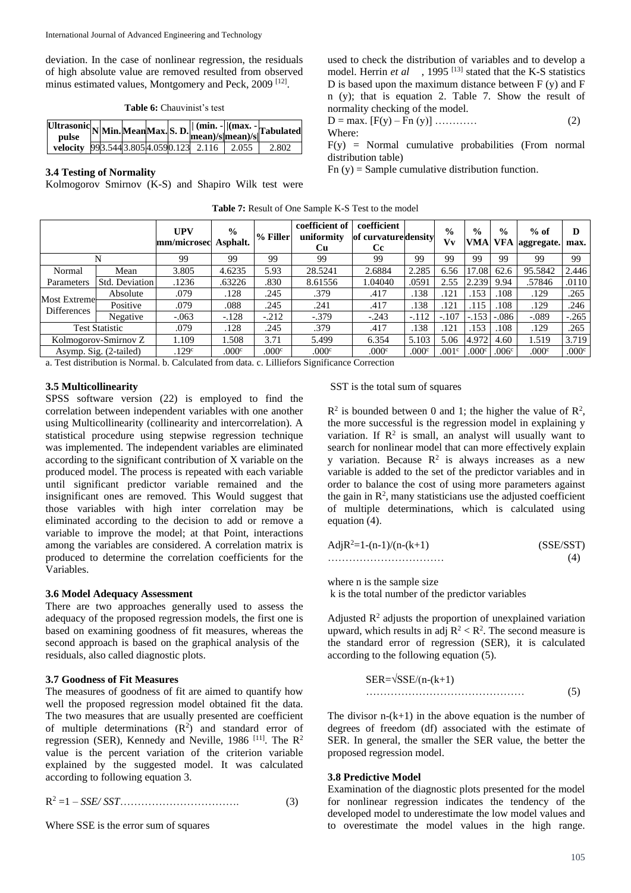deviation. In the case of nonlinear regression, the residuals of high absolute value are removed resulted from observed minus estimated values, Montgomery and Peck, 2009<sup>[12]</sup>.

|  | <b>Table 6:</b> Chauvinist's test |  |  |
|--|-----------------------------------|--|--|
|--|-----------------------------------|--|--|

| Ultrasonic NMin. Mean Max. S. D.    (min. -   (max. -  Tabulated |  |  |  |       |
|------------------------------------------------------------------|--|--|--|-------|
| velocity 993.5443.8054.0590.123 2.116 2.055                      |  |  |  | 2.802 |

# **3.4 Testing of Normality**

Kolmogorov Smirnov (K-S) and Shapiro Wilk test were

used to check the distribution of variables and to develop a model. Herrin *et al* , 1995<sup>[13]</sup> stated that the K-S statistics D is based upon the maximum distance between  $F(y)$  and  $F$ n (y); that is equation 2. Table 7. Show the result of normality checking of the model.

$$
D = \max. [F(y) - Fn (y)] \dots \dots \dots \dots \tag{2}
$$
  
Where:

 $F(y)$  = Normal cumulative probabilities (From normal distribution table)

 $Fn(y) = Sample cumulative distribution function.$ 

|          | <b>UPV</b>                                                                                    | $\frac{6}{6}$<br>Asphalt. |             | coefficient of<br>uniformity<br><b>Cu</b> | coefficient<br><b>Cc</b> |         | $\frac{0}{0}$<br>Vv | $\frac{0}{0}$        | $\frac{0}{0}$<br>VFA | $%$ of  | D<br>max.          |
|----------|-----------------------------------------------------------------------------------------------|---------------------------|-------------|-------------------------------------------|--------------------------|---------|---------------------|----------------------|----------------------|---------|--------------------|
|          | 99                                                                                            | 99                        | 99          | 99                                        | 99                       | 99      | 99                  | 99                   | 99                   | 99      | 99                 |
| Mean     | 3.805                                                                                         | 4.6235                    | 5.93        | 28.5241                                   | 2.6884                   | 2.285   | 6.56                | 17.08                | 62.6                 | 95.5842 | 2.446              |
|          | .1236                                                                                         | .63226                    | .830        | 8.61556                                   | 1.04040                  | .0591   | 2.55                | 2.239                | 9.94                 | .57846  | .0110              |
| Absolute | .079                                                                                          | .128                      | .245        | .379                                      | .417                     | .138    | .121                | .153                 | .108                 | .129    | .265               |
| Positive | .079                                                                                          | .088                      | .245        | .241                                      | .417                     | .138    | .121                | .115                 |                      | .129    | .246               |
| Negative | $-.063$                                                                                       | $-.128$                   | $-.212$     | $-.379$                                   | $-.243$                  | $-.112$ | $-.107$             | $-.153$              | $-.086$              | $-.089$ | $-.265$            |
|          | .079                                                                                          | .128                      | .245        | .379                                      | .417                     | .138    | .121                | .153                 | .108                 | .129    | .265               |
|          | 1.109                                                                                         | 1.508                     | 3.71        | 5.499                                     | 6.354                    | 5.103   | 5.06                | 4.972                | 4.60                 | 1.519   | 3.719              |
|          | .129 <sup>c</sup>                                                                             | .000c                     | .000c       | .000 <sup>c</sup>                         | .000c                    | .000c   | .001 <sup>c</sup>   | .000c                | .006 <sup>c</sup>    | .000c   | .000 <sup>c</sup>  |
|          | N<br>Most Extremel<br><b>Test Statistic</b><br>Kolmogorov-Smirnov Z<br>Asymp. Sig. (2-tailed) | Std. Deviation            | mm/microsec | % Filler                                  |                          |         |                     | of curvature density |                      | VMA     | aggregate.<br>.108 |

**Table 7:** Result of One Sample K-S Test to the model

a. Test distribution is Normal. b. Calculated from data. c. Lilliefors Significance Correction

#### **3.5 Multicollinearity**

SPSS software version (22) is employed to find the correlation between independent variables with one another using Multicollinearity (collinearity and intercorrelation). A statistical procedure using stepwise regression technique was implemented. The independent variables are eliminated according to the significant contribution of X variable on the produced model. The process is repeated with each variable until significant predictor variable remained and the insignificant ones are removed. This Would suggest that those variables with high inter correlation may be eliminated according to the decision to add or remove a variable to improve the model; at that Point, interactions among the variables are considered. A correlation matrix is produced to determine the correlation coefficients for the Variables.

#### **3.6 Model Adequacy Assessment**

There are two approaches generally used to assess the adequacy of the proposed regression models, the first one is based on examining goodness of fit measures, whereas the second approach is based on the graphical analysis of the residuals, also called diagnostic plots.

# **3.7 Goodness of Fit Measures**

The measures of goodness of fit are aimed to quantify how well the proposed regression model obtained fit the data. The two measures that are usually presented are coefficient of multiple determinations  $(R^2)$  and standard error of regression (SER), Kennedy and Neville, 1986<sup>[11]</sup>. The R<sup>2</sup> value is the percent variation of the criterion variable explained by the suggested model. It was calculated according to following equation 3.

$$
R^2 = 1 - SSE/ SST. \tag{3}
$$

Where SSE is the error sum of squares

#### SST is the total sum of squares

 $R^2$  is bounded between 0 and 1; the higher the value of  $R^2$ , the more successful is the regression model in explaining y variation. If  $\mathbb{R}^2$  is small, an analyst will usually want to search for nonlinear model that can more effectively explain y variation. Because  $\mathbb{R}^2$  is always increases as a new variable is added to the set of the predictor variables and in order to balance the cost of using more parameters against the gain in  $\mathbb{R}^2$ , many statisticians use the adjusted coefficient of multiple determinations, which is calculated using equation (4).

$$
AdjR2=1-(n-1)/(n-(k+1)
$$
 (SSE/ SST) (4)

where n is the sample size k is the total number of the predictor variables

Adjusted  $\mathbb{R}^2$  adjusts the proportion of unexplained variation upward, which results in adj  $R^2 < R^2$ . The second measure is the standard error of regression (SER), it is calculated according to the following equation (5).

$$
SER=\sqrt{SSE/(n-(k+1)}
$$
\n
$$
\dots
$$
\n(5)

The divisor  $n-(k+1)$  in the above equation is the number of degrees of freedom (df) associated with the estimate of SER. In general, the smaller the SER value, the better the proposed regression model.

#### **3.8 Predictive Model**

Examination of the diagnostic plots presented for the model for nonlinear regression indicates the tendency of the developed model to underestimate the low model values and to overestimate the model values in the high range.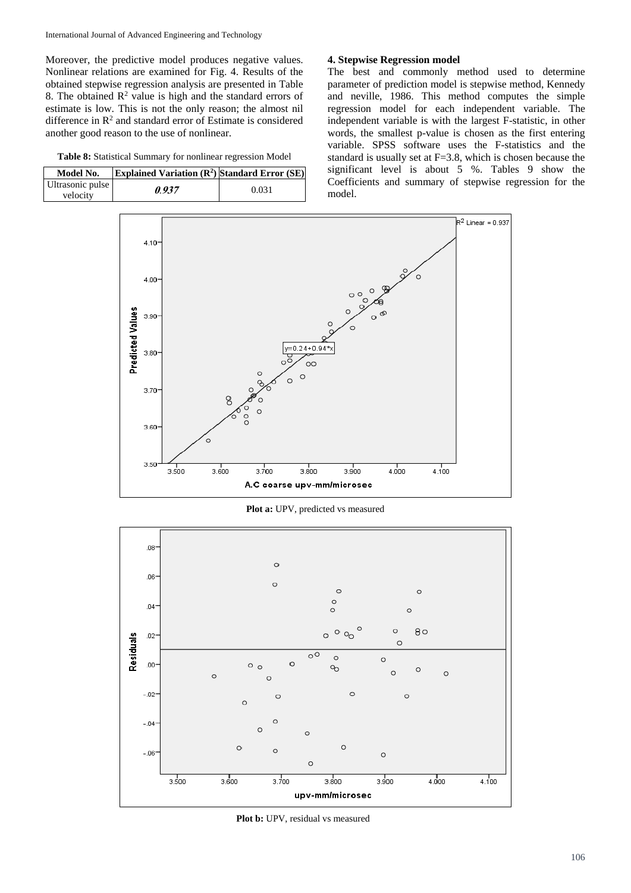Moreover, the predictive model produces negative values. Nonlinear relations are examined for Fig. 4. Results of the obtained stepwise regression analysis are presented in Table 8. The obtained  $R^2$  value is high and the standard errors of estimate is low. This is not the only reason; the almost nil difference in  $\mathbb{R}^2$  and standard error of Estimate is considered another good reason to the use of nonlinear.

**Table 8:** Statistical Summary for nonlinear regression Model

| Model No.                    | Explained Variation $(\mathbb{R}^2)$ Standard Error $(SE)$ |       |
|------------------------------|------------------------------------------------------------|-------|
| Ultrasonic pulse<br>velocity | 0.937                                                      | 0.031 |

# **4. Stepwise Regression model**

The best and commonly method used to determine parameter of prediction model is stepwise method, Kennedy and neville, 1986. This method computes the simple regression model for each independent variable. The independent variable is with the largest F-statistic, in other words, the smallest p-value is chosen as the first entering variable. SPSS software uses the F-statistics and the standard is usually set at F=3.8, which is chosen because the significant level is about 5 %. Tables 9 show the Coefficients and summary of stepwise regression for the model.



**Plot a:** UPV, predicted vs measured



Plot b: UPV, residual vs measured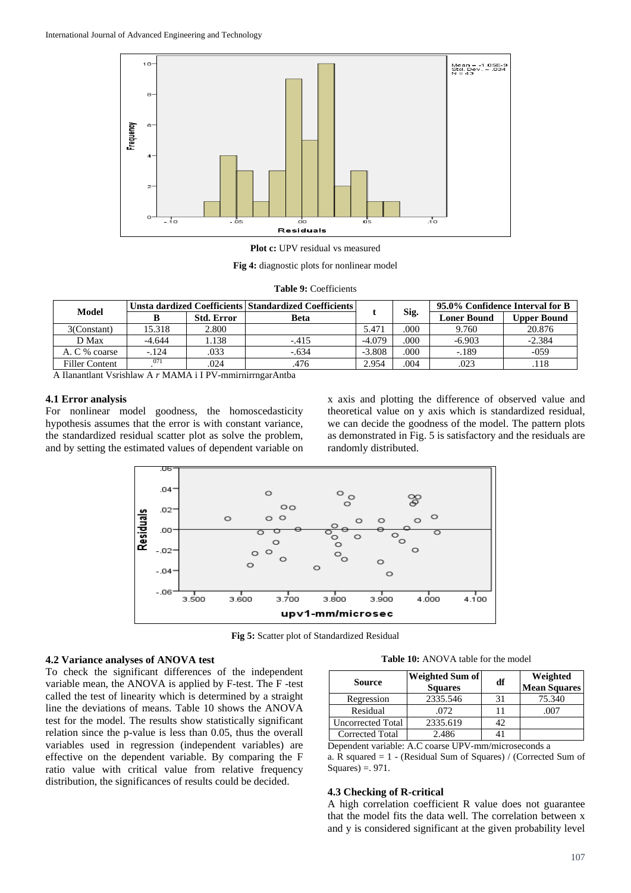

**Plot c:** UPV residual vs measured

**Fig 4:** diagnostic plots for nonlinear model

|  | <b>Table 9: Coefficients</b> |
|--|------------------------------|
|--|------------------------------|

| <b>Model</b>   |          |                   | Unsta dardized Coefficients Standardized Coefficients |          |      |                    |             |  |  | 95.0% Confidence Interval for B |  |
|----------------|----------|-------------------|-------------------------------------------------------|----------|------|--------------------|-------------|--|--|---------------------------------|--|
|                |          | <b>Std. Error</b> | <b>Beta</b>                                           |          | Sig. | <b>Loner Bound</b> | Upper Bound |  |  |                                 |  |
| 3(Constant)    | 15.318   | 2.800             |                                                       | 5.471    | 000  | 9.760              | 20.876      |  |  |                                 |  |
| D Max          | $-4.644$ | 1.138             | $-.415$                                               | $-4.079$ | .000 | $-6.903$           | $-2.384$    |  |  |                                 |  |
| A. C % coarse  | $-.124$  | .033              | $-.634$                                               | $-3.808$ | .000 | $-.189$            | $-0.59$     |  |  |                                 |  |
| Filler Content | 071      | .024              | .476                                                  | 2.954    | .004 | .023               | .118        |  |  |                                 |  |

A Ilanantlant Vsrishlaw A *r* MAMA i I PV-mmirnirrngarAntba

#### **4.1 Error analysis**

For nonlinear model goodness, the homoscedasticity hypothesis assumes that the error is with constant variance, the standardized residual scatter plot as solve the problem, and by setting the estimated values of dependent variable on x axis and plotting the difference of observed value and theoretical value on y axis which is standardized residual, we can decide the goodness of the model. The pattern plots as demonstrated in Fig. 5 is satisfactory and the residuals are randomly distributed.



**Fig 5:** Scatter plot of Standardized Residual

# **4.2 Variance analyses of ANOVA test**

To check the significant differences of the independent variable mean, the ANOVA is applied by F-test. The F -test called the test of linearity which is determined by a straight line the deviations of means. Table 10 shows the ANOVA test for the model. The results show statistically significant relation since the p-value is less than 0.05, thus the overall variables used in regression (independent variables) are effective on the dependent variable. By comparing the F ratio value with critical value from relative frequency distribution, the significances of results could be decided.

**Table 10:** ANOVA table for the model

| <b>Source</b>            | <b>Weighted Sum of</b><br><b>Squares</b> | df | Weighted<br><b>Mean Squares</b> |
|--------------------------|------------------------------------------|----|---------------------------------|
| Regression               | 2335.546                                 | 31 | 75.340                          |
| Residual                 | .072                                     |    | .007                            |
| <b>Uncorrected Total</b> | 2335.619                                 | 42 |                                 |
| <b>Corrected Total</b>   | 2.486                                    | 41 |                                 |

Dependent variable: A.C coarse UPV-mm/microseconds a a. R squared = 1 - (Residual Sum of Squares) / (Corrected Sum of  $Squares$ ) = . 971.

#### **4.3 Checking of R-critical**

A high correlation coefficient R value does not guarantee that the model fits the data well. The correlation between x and y is considered significant at the given probability level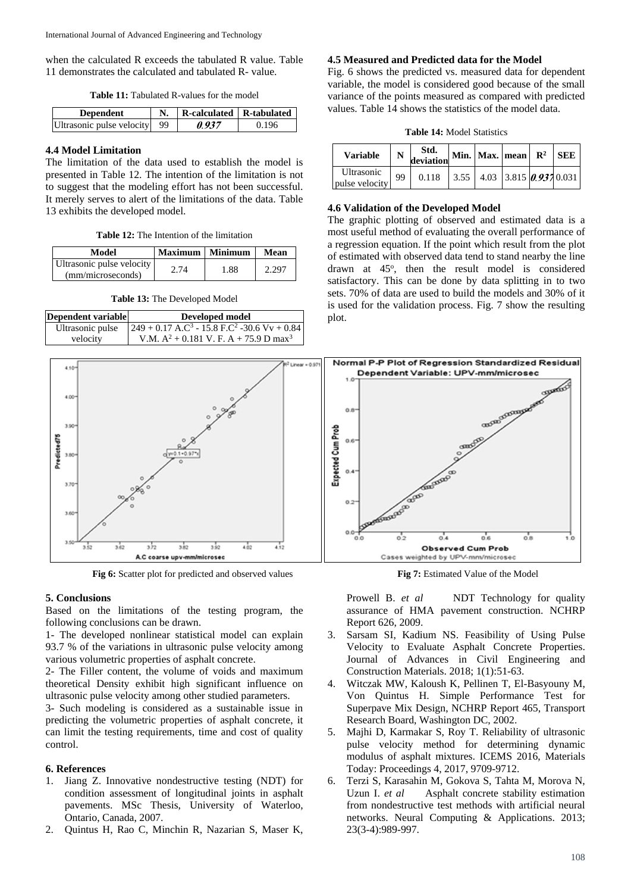when the calculated R exceeds the tabulated R value. Table 11 demonstrates the calculated and tabulated R- value.

**Table 11:** Tabulated R-values for the model

| <b>Dependent</b>             | R-calculated R-tabulated |       |  |
|------------------------------|--------------------------|-------|--|
| Ultrasonic pulse velocity 99 | 0.937                    | 0.196 |  |

# **4.4 Model Limitation**

The limitation of the data used to establish the model is presented in Table 12. The intention of the limitation is not to suggest that the modeling effort has not been successful. It merely serves to alert of the limitations of the data. Table 13 exhibits the developed model.

**Table 12:** The Intention of the limitation

| Model                                          | Maximum   Minimum |      | Mean  |  |
|------------------------------------------------|-------------------|------|-------|--|
| Ultrasonic pulse velocity<br>(mm/microseconds) | 2.74              | 1.88 | 2.297 |  |

**Table 13:** The Developed Model

| Dependent variable | Developed model                                                       |
|--------------------|-----------------------------------------------------------------------|
| Ultrasonic pulse   | $249 + 0.17$ A.C <sup>3</sup> - 15.8 F.C <sup>2</sup> -30.6 Vv + 0.84 |
| velocity           | V.M. $A^2$ + 0.181 V. F. A + 75.9 D max <sup>3</sup>                  |



**Fig 6:** Scatter plot for predicted and observed values **Fig 7:** Estimated Value of the Model

# **5. Conclusions**

Based on the limitations of the testing program, the following conclusions can be drawn.

1- The developed nonlinear statistical model can explain 93.7 % of the variations in ultrasonic pulse velocity among various volumetric properties of asphalt concrete.

2- The Filler content, the volume of voids and maximum theoretical Density exhibit high significant influence on ultrasonic pulse velocity among other studied parameters.

3- Such modeling is considered as a sustainable issue in predicting the volumetric properties of asphalt concrete, it can limit the testing requirements, time and cost of quality control.

# **6. References**

- 1. Jiang Z. Innovative nondestructive testing (NDT) for condition assessment of longitudinal joints in asphalt pavements. MSc Thesis, University of Waterloo, Ontario, Canada, 2007.
- 2. Quintus H, Rao C, Minchin R, Nazarian S, Maser K,

# **4.5 Measured and Predicted data for the Model**

Fig. 6 shows the predicted vs. measured data for dependent variable, the model is considered good because of the small variance of the points measured as compared with predicted values. Table 14 shows the statistics of the model data.

**Table 14:** Model Statistics

| <b>Variable</b>              | N  | Std.<br>deviation |  | Min. Max. mean $\mathbb{R}^2$ | <b>SEE</b> |
|------------------------------|----|-------------------|--|-------------------------------|------------|
| Ultrasonic<br>pulse velocity | 99 | 0.118             |  | $3.55$ 4.03 3.815 0.937 0.031 |            |

# **4.6 Validation of the Developed Model**

The graphic plotting of observed and estimated data is a most useful method of evaluating the overall performance of a regression equation. If the point which result from the plot of estimated with observed data tend to stand nearby the line drawn at 45°, then the result model is considered satisfactory. This can be done by data splitting in to two sets. 70% of data are used to build the models and 30% of it is used for the validation process. Fig. 7 show the resulting plot.



Prowell B. *et al* NDT Technology for quality assurance of HMA pavement construction. NCHRP Report 626, 2009.

- 3. Sarsam SI, Kadium NS. Feasibility of Using Pulse Velocity to Evaluate Asphalt Concrete Properties. Journal of Advances in Civil Engineering and Construction Materials. 2018; 1(1):51-63.
- 4. Witczak MW, Kaloush K, Pellinen T, El-Basyouny M, Von Quintus H. Simple Performance Test for Superpave Mix Design, NCHRP Report 465, Transport Research Board, Washington DC, 2002.
- 5. Majhi D, Karmakar S, Roy T. Reliability of ultrasonic pulse velocity method for determining dynamic modulus of asphalt mixtures. ICEMS 2016, Materials Today: Proceedings 4, 2017, 9709-9712.
- 6. Terzi S, Karasahin M, Gokova S, Tahta M, Morova N, Uzun I. *et al* Asphalt concrete stability estimation from nondestructive test methods with artificial neural networks. Neural Computing & Applications. 2013; 23(3-4):989-997.